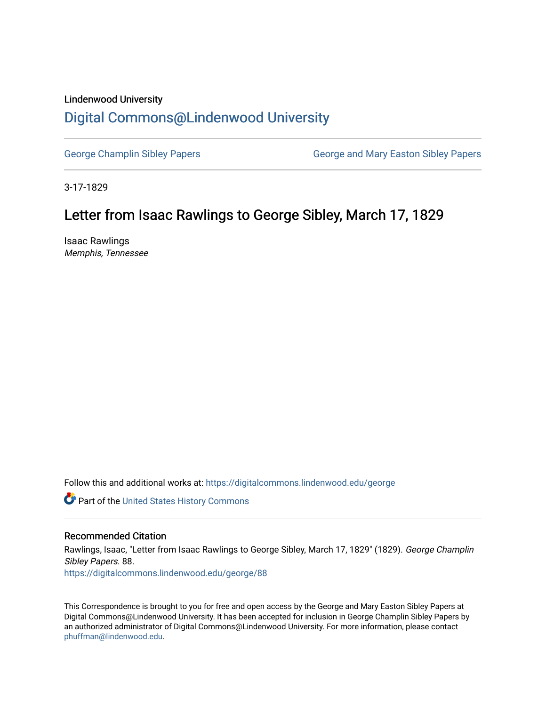# Lindenwood University

### [Digital Commons@Lindenwood University](https://digitalcommons.lindenwood.edu/)

[George Champlin Sibley Papers](https://digitalcommons.lindenwood.edu/george) George and Mary Easton Sibley Papers

3-17-1829

## Letter from Isaac Rawlings to George Sibley, March 17, 1829

Isaac Rawlings Memphis, Tennessee

Follow this and additional works at: [https://digitalcommons.lindenwood.edu/george](https://digitalcommons.lindenwood.edu/george?utm_source=digitalcommons.lindenwood.edu%2Fgeorge%2F88&utm_medium=PDF&utm_campaign=PDFCoverPages)

Part of the [United States History Commons](http://network.bepress.com/hgg/discipline/495?utm_source=digitalcommons.lindenwood.edu%2Fgeorge%2F88&utm_medium=PDF&utm_campaign=PDFCoverPages) 

#### Recommended Citation

Rawlings, Isaac, "Letter from Isaac Rawlings to George Sibley, March 17, 1829" (1829). George Champlin Sibley Papers. 88. [https://digitalcommons.lindenwood.edu/george/88](https://digitalcommons.lindenwood.edu/george/88?utm_source=digitalcommons.lindenwood.edu%2Fgeorge%2F88&utm_medium=PDF&utm_campaign=PDFCoverPages) 

This Correspondence is brought to you for free and open access by the George and Mary Easton Sibley Papers at Digital Commons@Lindenwood University. It has been accepted for inclusion in George Champlin Sibley Papers by an authorized administrator of Digital Commons@Lindenwood University. For more information, please contact [phuffman@lindenwood.edu](mailto:phuffman@lindenwood.edu).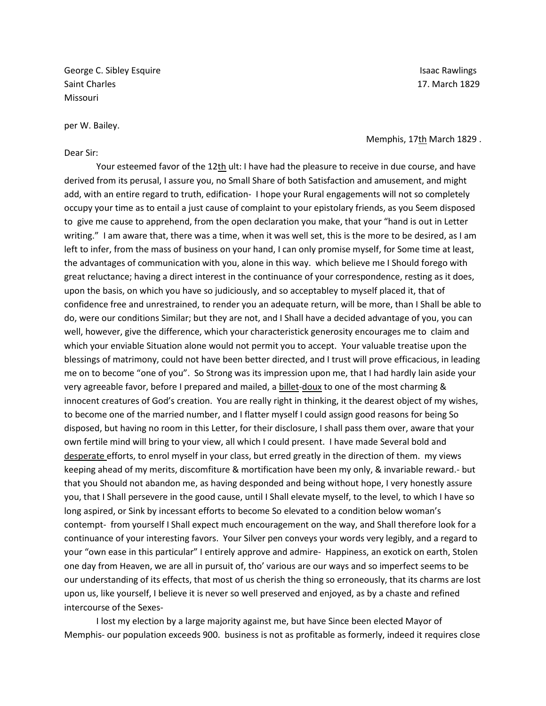George C. Sibley Esquire **Islamic Community** Controller in the Isaac Rawlings of the Isaac Rawlings of the Isaac Rawlings of the Isaac Rawlings of the Isaac Rawlings of the Isaac Rawlings of the Isaac Rawlings of the Isaac Saint Charles 17. March 1829 Missouri

per W. Bailey.

#### Dear Sir:

Memphis, 17th March 1829.

Your esteemed favor of the 12th ult: I have had the pleasure to receive in due course, and have derived from its perusal, I assure you, no Small Share of both Satisfaction and amusement, and might add, with an entire regard to truth, edification- I hope your Rural engagements will not so completely occupy your time as to entail a just cause of complaint to your epistolary friends, as you Seem disposed to give me cause to apprehend, from the open declaration you make, that your "hand is out in Letter writing." I am aware that, there was a time, when it was well set, this is the more to be desired, as I am left to infer, from the mass of business on your hand, I can only promise myself, for Some time at least, the advantages of communication with you, alone in this way. which believe me I Should forego with great reluctance; having a direct interest in the continuance of your correspondence, resting as it does, upon the basis, on which you have so judiciously, and so acceptabley to myself placed it, that of confidence free and unrestrained, to render you an adequate return, will be more, than I Shall be able to do, were our conditions Similar; but they are not, and I Shall have a decided advantage of you, you can well, however, give the difference, which your characteristick generosity encourages me to claim and which your enviable Situation alone would not permit you to accept. Your valuable treatise upon the blessings of matrimony, could not have been better directed, and I trust will prove efficacious, in leading me on to become "one of you". So Strong was its impression upon me, that I had hardly lain aside your very agreeable favor, before I prepared and mailed, a billet-doux to one of the most charming & innocent creatures of God's creation. You are really right in thinking, it the dearest object of my wishes, to become one of the married number, and I flatter myself I could assign good reasons for being So disposed, but having no room in this Letter, for their disclosure, I shall pass them over, aware that your own fertile mind will bring to your view, all which I could present. I have made Several bold and desperate efforts, to enrol myself in your class, but erred greatly in the direction of them. my views keeping ahead of my merits, discomfiture & mortification have been my only, & invariable reward.- but that you Should not abandon me, as having desponded and being without hope, I very honestly assure you, that I Shall persevere in the good cause, until I Shall elevate myself, to the level, to which I have so long aspired, or Sink by incessant efforts to become So elevated to a condition below woman's contempt- from yourself I Shall expect much encouragement on the way, and Shall therefore look for a continuance of your interesting favors. Your Silver pen conveys your words very legibly, and a regard to your "own ease in this particular" I entirely approve and admire- Happiness, an exotick on earth, Stolen one day from Heaven, we are all in pursuit of, tho' various are our ways and so imperfect seems to be our understanding of its effects, that most of us cherish the thing so erroneously, that its charms are lost upon us, like yourself, I believe it is never so well preserved and enjoyed, as by a chaste and refined intercourse of the Sexes-

I lost my election by a large majority against me, but have Since been elected Mayor of Memphis- our population exceeds 900. business is not as profitable as formerly, indeed it requires close